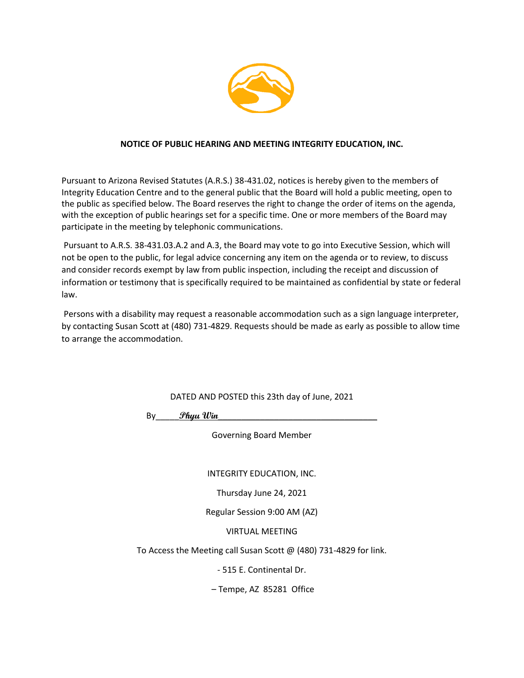

#### **NOTICE OF PUBLIC HEARING AND MEETING INTEGRITY EDUCATION, INC.**

Pursuant to Arizona Revised Statutes (A.R.S.) 38-431.02, notices is hereby given to the members of Integrity Education Centre and to the general public that the Board will hold a public meeting, open to the public as specified below. The Board reserves the right to change the order of items on the agenda, with the exception of public hearings set for a specific time. One or more members of the Board may participate in the meeting by telephonic communications.

Pursuant to A.R.S. 38-431.03.A.2 and A.3, the Board may vote to go into Executive Session, which will not be open to the public, for legal advice concerning any item on the agenda or to review, to discuss and consider records exempt by law from public inspection, including the receipt and discussion of information or testimony that is specifically required to be maintained as confidential by state or federal law.

Persons with a disability may request a reasonable accommodation such as a sign language interpreter, by contacting Susan Scott at (480) 731-4829. Requests should be made as early as possible to allow time to arrange the accommodation.

DATED AND POSTED this 23th day of June, 2021

By\_\_\_\_\_**Phyu Win**\_\_\_\_\_\_\_\_\_\_\_\_\_\_\_\_\_\_\_\_\_\_\_\_\_\_\_\_\_\_\_\_\_\_

Governing Board Member

INTEGRITY EDUCATION, INC.

Thursday June 24, 2021

Regular Session 9:00 AM (AZ)

VIRTUAL MEETING

To Access the Meeting call Susan Scott @ (480) 731-4829 for link.

- 515 E. Continental Dr.

– Tempe, AZ 85281 Office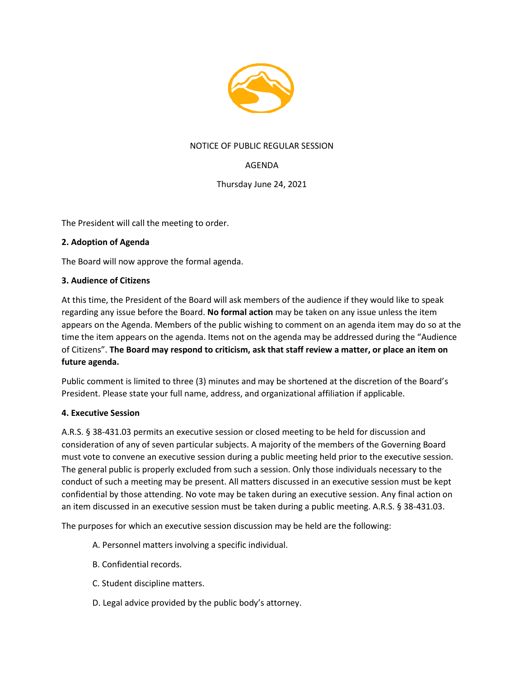

## NOTICE OF PUBLIC REGULAR SESSION

# AGENDA

Thursday June 24, 2021

The President will call the meeting to order.

#### **2. Adoption of Agenda**

The Board will now approve the formal agenda.

#### **3. Audience of Citizens**

At this time, the President of the Board will ask members of the audience if they would like to speak regarding any issue before the Board. **No formal action** may be taken on any issue unless the item appears on the Agenda. Members of the public wishing to comment on an agenda item may do so at the time the item appears on the agenda. Items not on the agenda may be addressed during the "Audience of Citizens". **The Board may respond to criticism, ask that staff review a matter, or place an item on future agenda.**

Public comment is limited to three (3) minutes and may be shortened at the discretion of the Board's President. Please state your full name, address, and organizational affiliation if applicable.

#### **4. Executive Session**

A.R.S. § 38-431.03 permits an executive session or closed meeting to be held for discussion and consideration of any of seven particular subjects. A majority of the members of the Governing Board must vote to convene an executive session during a public meeting held prior to the executive session. The general public is properly excluded from such a session. Only those individuals necessary to the conduct of such a meeting may be present. All matters discussed in an executive session must be kept confidential by those attending. No vote may be taken during an executive session. Any final action on an item discussed in an executive session must be taken during a public meeting. A.R.S. § 38-431.03.

The purposes for which an executive session discussion may be held are the following:

- A. Personnel matters involving a specific individual.
- B. Confidential records.
- C. Student discipline matters.
- D. Legal advice provided by the public body's attorney.